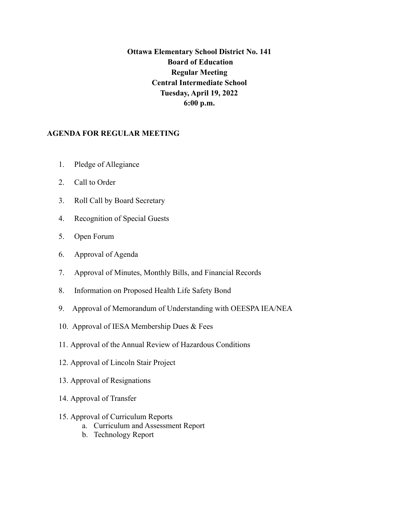## **Ottawa Elementary School District No. 141 Board of Education Regular Meeting Central Intermediate School Tuesday, April 19, 2022 6:00 p.m.**

## **AGENDA FOR REGULAR MEETING**

- 1. Pledge of Allegiance
- 2. Call to Order
- 3. Roll Call by Board Secretary
- 4. Recognition of Special Guests
- 5. Open Forum
- 6. Approval of Agenda
- 7. Approval of Minutes, Monthly Bills, and Financial Records
- 8. Information on Proposed Health Life Safety Bond
- 9. Approval of Memorandum of Understanding with OEESPA IEA/NEA
- 10. Approval of IESA Membership Dues & Fees
- 11. Approval of the Annual Review of Hazardous Conditions
- 12. Approval of Lincoln Stair Project
- 13. Approval of Resignations
- 14. Approval of Transfer
- 15. Approval of Curriculum Reports
	- a. Curriculum and Assessment Report
	- b. Technology Report